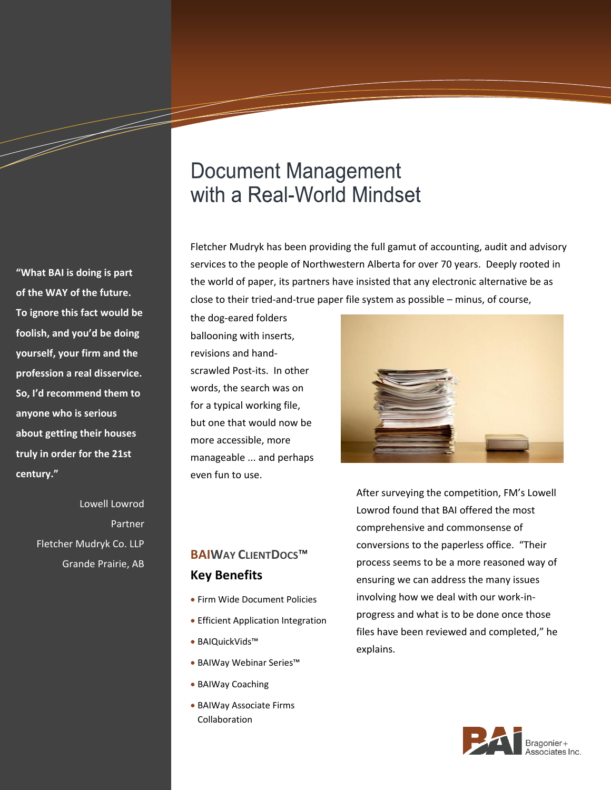# **Document Management** with a Real-World Mindset

Fletcher Mudryk has been providing the full gamut of accounting, audit and advisory services to the people of Northwestern Alberta for over 70 years. Deeply rooted in the world of paper, its partners have insisted that any electronic alternative be as close to their tried-and-true paper file system as possible – minus, of course,

the dog-eared folders ballooning with inserts, revisions and handscrawled Post-its. In other words, the search was on for a typical working file, but one that would now be more accessible, more manageable ... and perhaps even fun to use.



After surveying the competition, FM's Lowell

Lowrod found that BAI offered the most comprehensive and commonsense of conversions to the paperless office. "Their process seems to be a more reasoned way of ensuring we can address the many issues involving how we deal with our work-inprogress and what is to be done once those files have been reviewed and completed," he explains.



**"What BAI is doing is part of the WAY of the future. To ignore this fact would be foolish, and you'd be doing yourself, your firm and the profession a real disservice. So, I'd recommend them to anyone who is serious about getting their houses truly in order for the 21st century."**

a dheka waxaa ku dheegaalka dheegaalka dheegaalka dheegaalka dheegaalka dheegaalka dheegaalka dheegaalka dheega<br>Marka dheegaalka dheegaalka dheegaalka dheegaalka dheegaalka dheegaalka dheegaalka dheegaalka dheegaalka dheeg

Lowell Lowrod Partner Fletcher Mudryk Co. LLP Grande Prairie, AB

## **BAIWAY CLIENTDOCS**™ **Key Benefits**

- Firm Wide Document Policies
- **Efficient Application Integration**
- BAIQuickVids™
- BAIWay Webinar Series™
- BAIWay Coaching
- BAIWay Associate Firms Collaboration